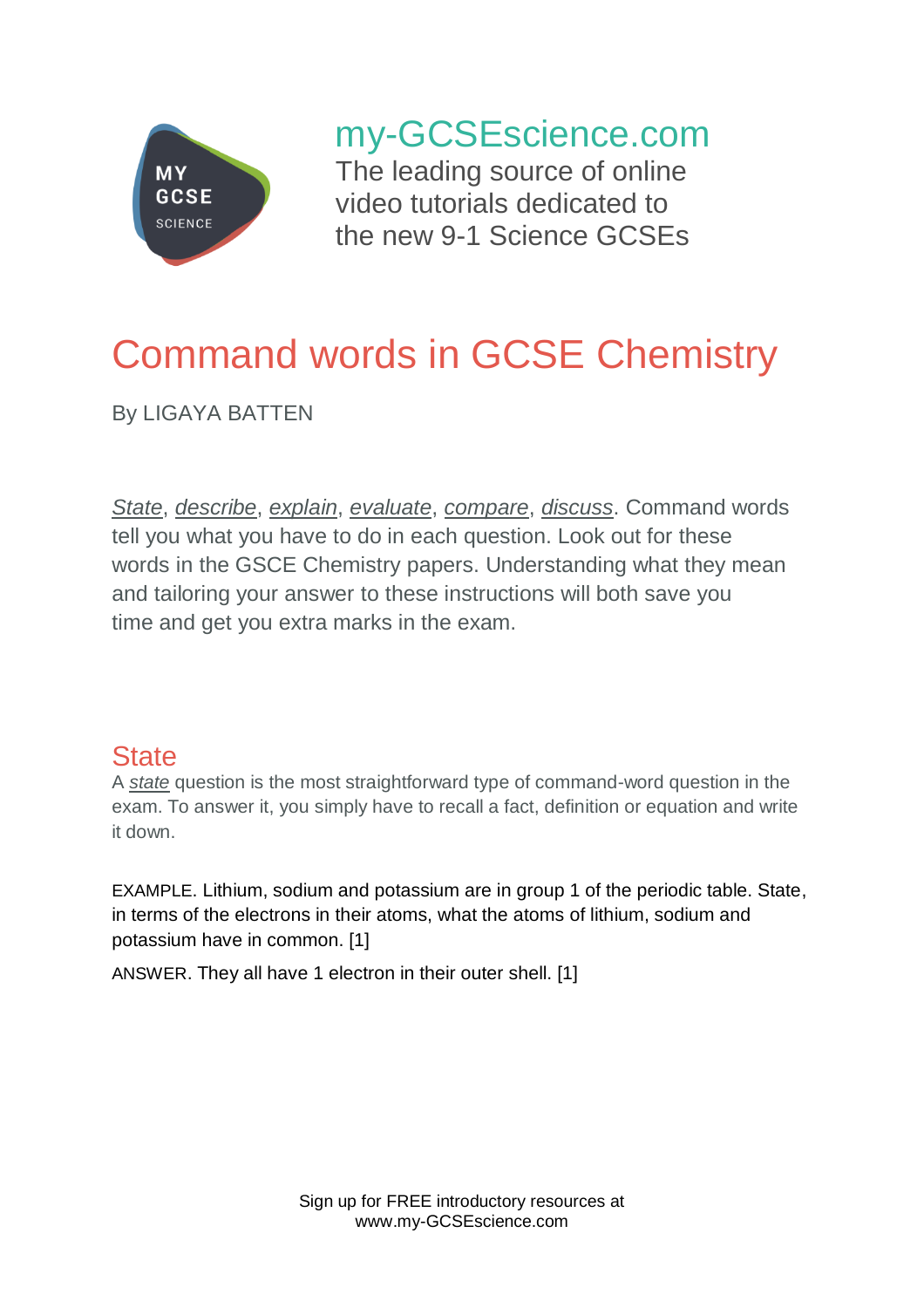

my-GCSEscience.com

The leading source of online video tutorials dedicated to the new 9-1 Science GCSEs

# Command words in GCSE Chemistry

By LIGAYA BATTEN

*State*, *describe*, *explain*, *evaluate*, *compare*, *discuss*. Command words tell you what you have to do in each question. Look out for these words in the GSCE Chemistry papers. Understanding what they mean and tailoring your answer to these instructions will both save you time and get you extra marks in the exam.

# **State**

A *state* question is the most straightforward type of command-word question in the exam. To answer it, you simply have to recall a fact, definition or equation and write it down.

EXAMPLE. Lithium, sodium and potassium are in group 1 of the periodic table. State, in terms of the electrons in their atoms, what the atoms of lithium, sodium and potassium have in common. [1]

ANSWER. They all have 1 electron in their outer shell. [1]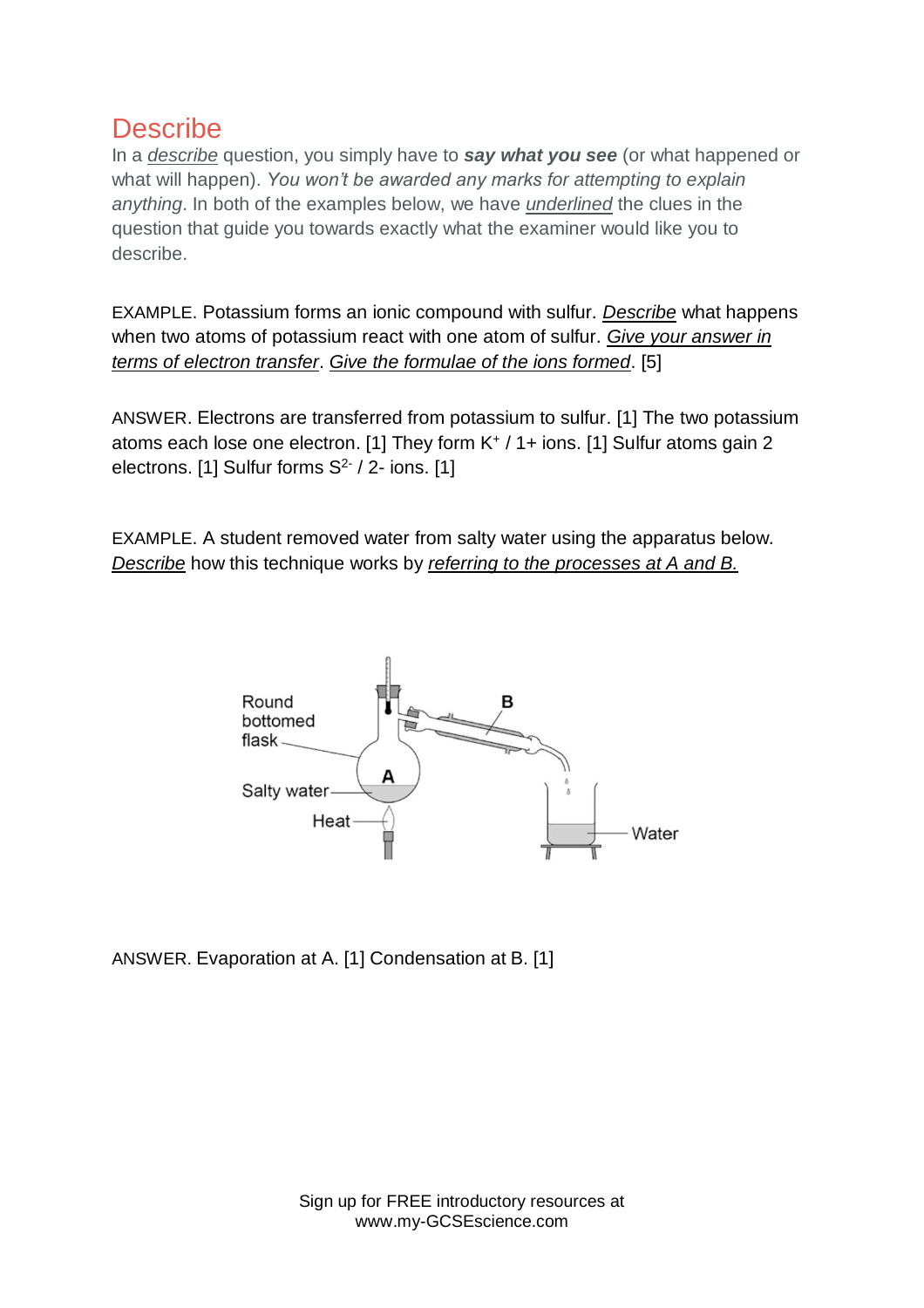### **Describe**

In a *describe* question, you simply have to *say what you see* (or what happened or what will happen). *You won't be awarded any marks for attempting to explain anything*. In both of the examples below, we have *underlined* the clues in the question that guide you towards exactly what the examiner would like you to describe.

EXAMPLE. Potassium forms an ionic compound with sulfur. *Describe* what happens when two atoms of potassium react with one atom of sulfur. *Give your answer in terms of electron transfer*. *Give the formulae of the ions formed*. [5]

ANSWER. Electrons are transferred from potassium to sulfur. [1] The two potassium atoms each lose one electron. [1] They form K<sup>+</sup> / 1+ ions. [1] Sulfur atoms gain 2 electrons. [1] Sulfur forms  $S^2$  / 2- ions. [1]

EXAMPLE. A student removed water from salty water using the apparatus below. *Describe* how this technique works by *referring to the processes at A and B.*



ANSWER. Evaporation at A. [1] Condensation at B. [1]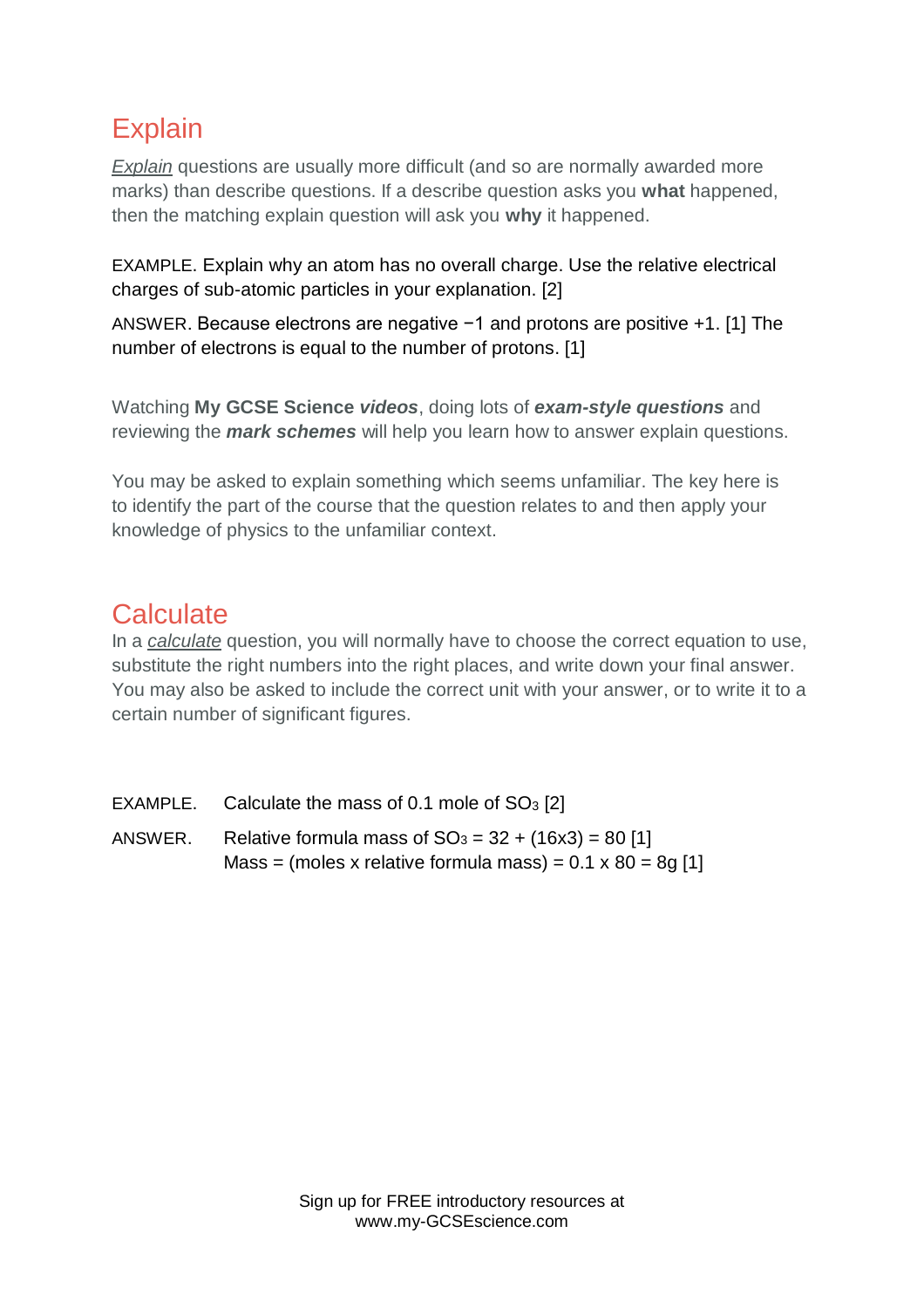# **Explain**

*Explain* questions are usually more difficult (and so are normally awarded more marks) than describe questions. If a describe question asks you **what** happened, then the matching explain question will ask you **why** it happened.

EXAMPLE. Explain why an atom has no overall charge. Use the relative electrical charges of sub-atomic particles in your explanation. [2]

ANSWER. Because electrons are negative −1 and protons are positive +1. [1] The number of electrons is equal to the number of protons. [1]

Watching **My GCSE Science** *videos*, doing lots of *exam-style questions* and reviewing the *mark schemes* will help you learn how to answer explain questions.

You may be asked to explain something which seems unfamiliar. The key here is to identify the part of the course that the question relates to and then apply your knowledge of physics to the unfamiliar context.

# **Calculate**

In a *calculate* question, you will normally have to choose the correct equation to use, substitute the right numbers into the right places, and write down your final answer. You may also be asked to include the correct unit with your answer, or to write it to a certain number of significant figures.

- EXAMPLE. Calculate the mass of 0.1 mole of  $SO<sub>3</sub>$  [2]
- ANSWER. Relative formula mass of  $SO_3 = 32 + (16x3) = 80$  [1] Mass = (moles x relative formula mass) =  $0.1 \times 80 = 8q$  [1]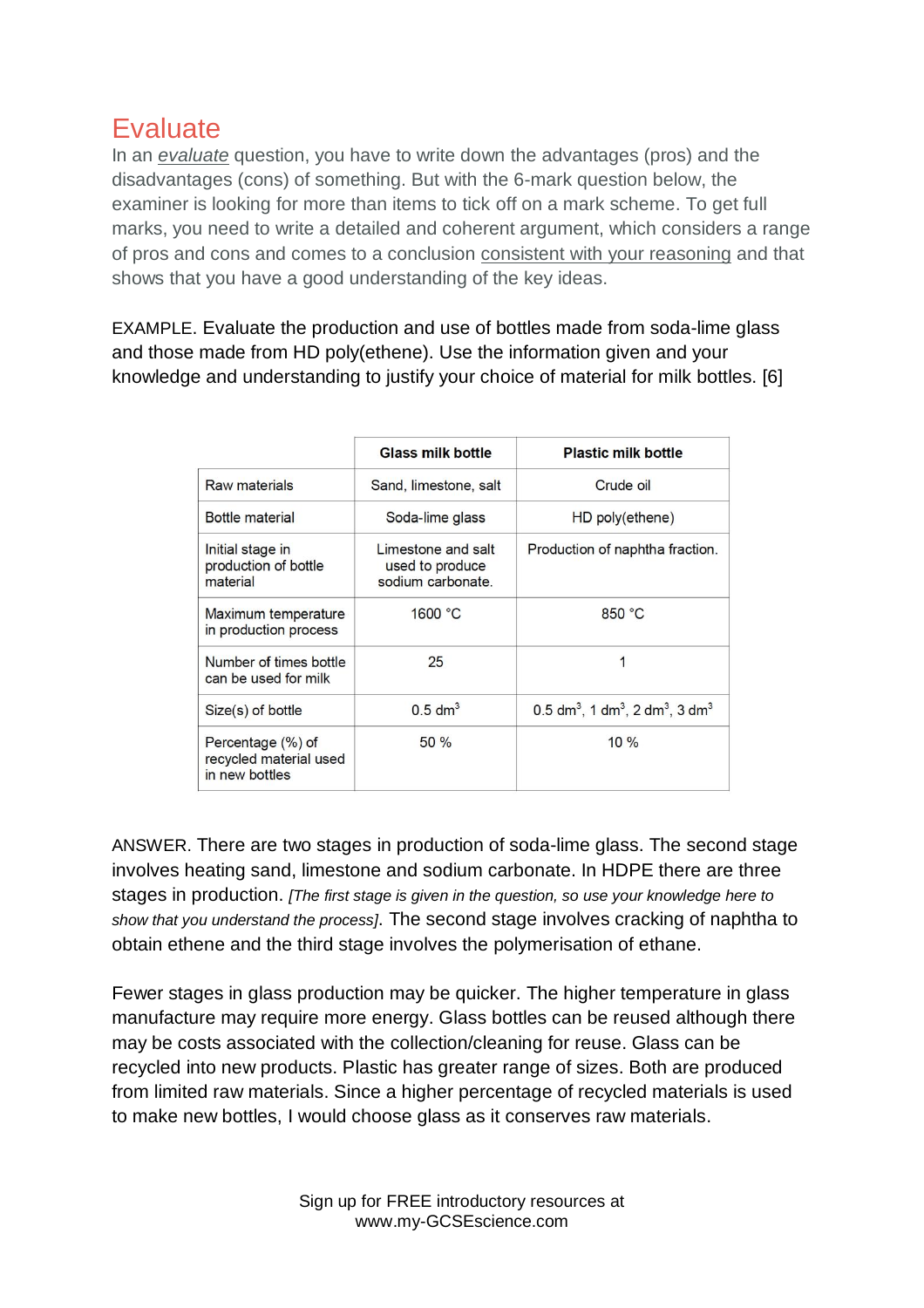# **Evaluate**

In an *evaluate* question, you have to write down the advantages (pros) and the disadvantages (cons) of something. But with the 6-mark question below, the examiner is looking for more than items to tick off on a mark scheme. To get full marks, you need to write a detailed and coherent argument, which considers a range of pros and cons and comes to a conclusion consistent with your reasoning and that shows that you have a good understanding of the key ideas.

EXAMPLE. Evaluate the production and use of bottles made from soda-lime glass and those made from HD poly(ethene). Use the information given and your knowledge and understanding to justify your choice of material for milk bottles. [6]

|                                                               | <b>Glass milk bottle</b>                                   | <b>Plastic milk bottle</b>                                                        |
|---------------------------------------------------------------|------------------------------------------------------------|-----------------------------------------------------------------------------------|
| <b>Raw materials</b>                                          | Sand, limestone, salt                                      | Crude oil                                                                         |
| Bottle material                                               | Soda-lime glass                                            | HD poly(ethene)                                                                   |
| Initial stage in<br>production of bottle<br>material          | Limestone and salt<br>used to produce<br>sodium carbonate. | Production of naphtha fraction.                                                   |
| Maximum temperature<br>in production process                  | 1600 °C                                                    | 850 °C                                                                            |
| Number of times bottle<br>can be used for milk                | 25                                                         |                                                                                   |
| Size(s) of bottle                                             | $0.5$ dm <sup>3</sup>                                      | $0.5$ dm <sup>3</sup> , 1 dm <sup>3</sup> , 2 dm <sup>3</sup> , 3 dm <sup>3</sup> |
| Percentage (%) of<br>recycled material used<br>in new bottles | $50\%$                                                     | $10\%$                                                                            |

ANSWER. There are two stages in production of soda-lime glass. The second stage involves heating sand, limestone and sodium carbonate. In HDPE there are three stages in production. *[The first stage is given in the question, so use your knowledge here to show that you understand the process]*. The second stage involves cracking of naphtha to obtain ethene and the third stage involves the polymerisation of ethane.

Fewer stages in glass production may be quicker. The higher temperature in glass manufacture may require more energy. Glass bottles can be reused although there may be costs associated with the collection/cleaning for reuse. Glass can be recycled into new products. Plastic has greater range of sizes. Both are produced from limited raw materials. Since a higher percentage of recycled materials is used to make new bottles, I would choose glass as it conserves raw materials.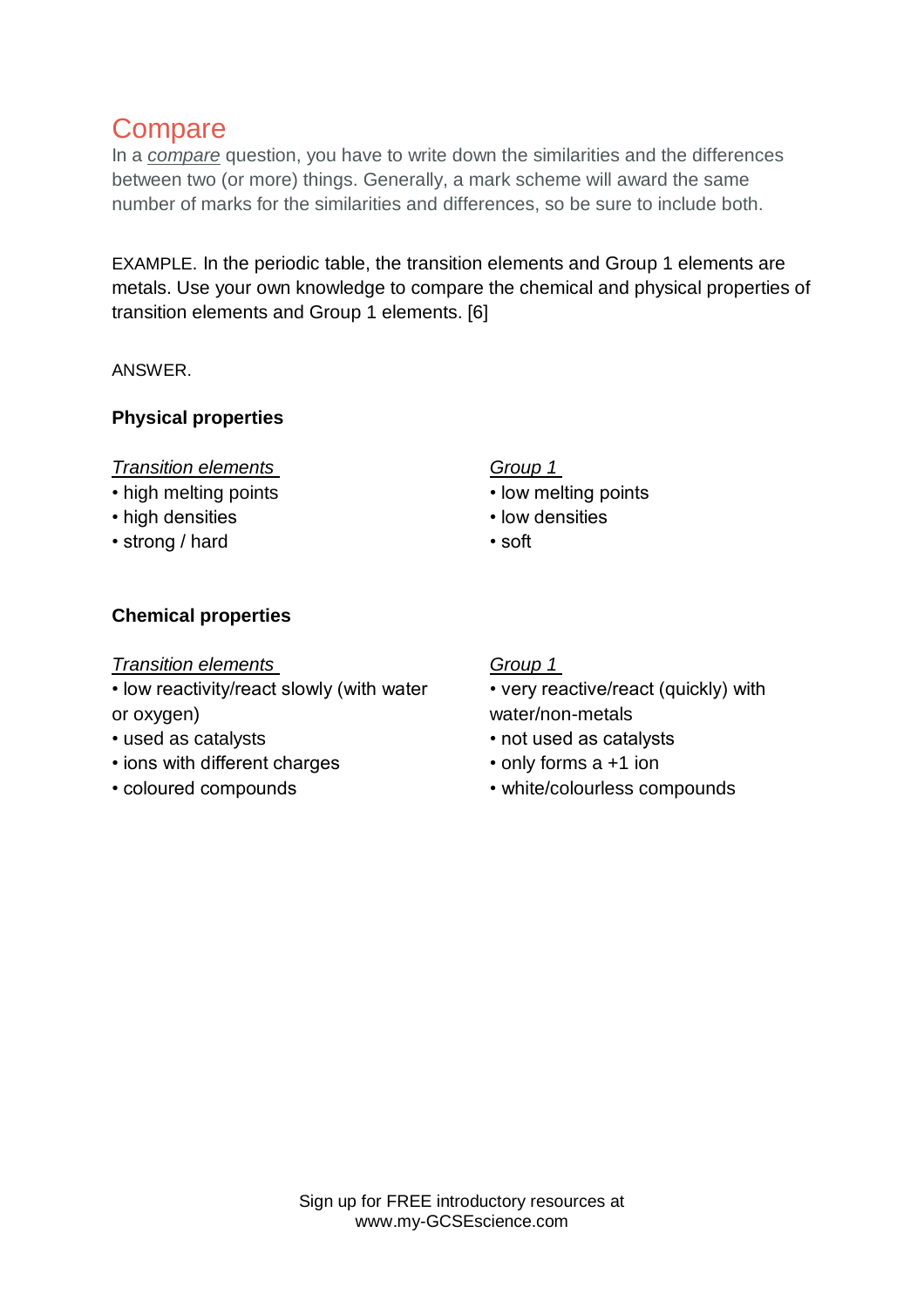# **Compare**

In a *compare* question, you have to write down the similarities and the differences between two (or more) things. Generally, a mark scheme will award the same number of marks for the similarities and differences, so be sure to include both.

EXAMPLE. In the periodic table, the transition elements and Group 1 elements are metals. Use your own knowledge to compare the chemical and physical properties of transition elements and Group 1 elements. [6]

ANSWER.

#### **Physical properties**

#### *Transition elements*

- high melting points
- high densities
- strong / hard

#### *Group 1*

- low melting points
- low densities
- soft

#### **Chemical properties**

#### *Transition elements*

• low reactivity/react slowly (with water or oxygen)

- used as catalysts
- ions with different charges
- coloured compounds

#### *Group 1*

• very reactive/react (quickly) with water/non-metals

- not used as catalysts
- only forms a +1 ion
- white/colourless compounds